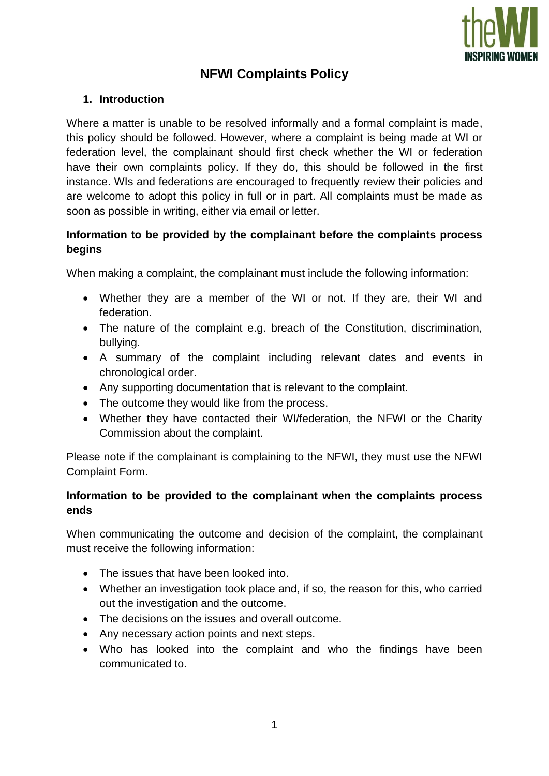

# **NFWI Complaints Policy**

#### **1. Introduction**

Where a matter is unable to be resolved informally and a formal complaint is made, this policy should be followed. However, where a complaint is being made at WI or federation level, the complainant should first check whether the WI or federation have their own complaints policy. If they do, this should be followed in the first instance. WIs and federations are encouraged to frequently review their policies and are welcome to adopt this policy in full or in part. All complaints must be made as soon as possible in writing, either via email or letter.

# **Information to be provided by the complainant before the complaints process begins**

When making a complaint, the complainant must include the following information:

- Whether they are a member of the WI or not. If they are, their WI and federation.
- The nature of the complaint e.g. breach of the Constitution, discrimination, bullying.
- A summary of the complaint including relevant dates and events in chronological order.
- Any supporting documentation that is relevant to the complaint.
- The outcome they would like from the process.
- Whether they have contacted their WI/federation, the NFWI or the Charity Commission about the complaint.

Please note if the complainant is complaining to the NFWI, they must use the NFWI Complaint Form.

#### **Information to be provided to the complainant when the complaints process ends**

When communicating the outcome and decision of the complaint, the complainant must receive the following information:

- The issues that have been looked into.
- Whether an investigation took place and, if so, the reason for this, who carried out the investigation and the outcome.
- The decisions on the issues and overall outcome.
- Any necessary action points and next steps.
- Who has looked into the complaint and who the findings have been communicated to.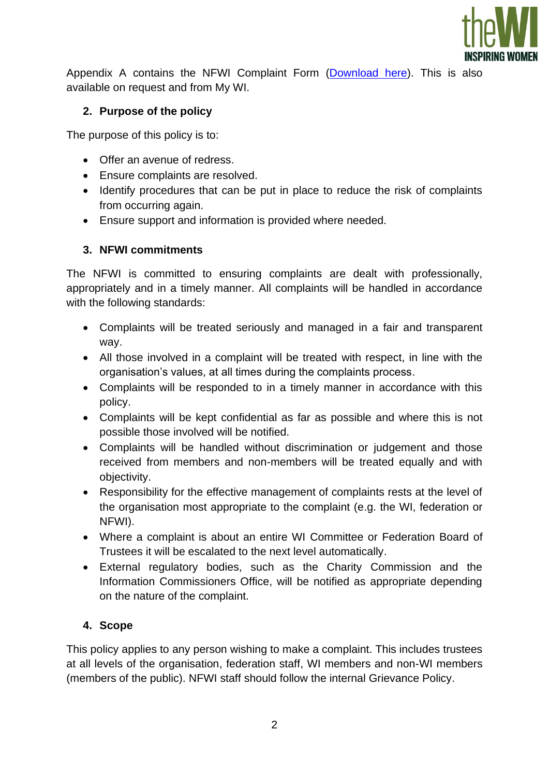

Appendix A contains the NFWI Complaint Form [\(Download](http://mywi.thewi.org.uk/__data/assets/word_doc/0007/554209/NFWI-Complaint-Form-2021.docx) here). This is also available on request and from My WI.

# **2. Purpose of the policy**

The purpose of this policy is to:

- Offer an avenue of redress.
- Ensure complaints are resolved.
- Identify procedures that can be put in place to reduce the risk of complaints from occurring again.
- Ensure support and information is provided where needed.

# **3. NFWI commitments**

The NFWI is committed to ensuring complaints are dealt with professionally, appropriately and in a timely manner. All complaints will be handled in accordance with the following standards:

- Complaints will be treated seriously and managed in a fair and transparent way.
- All those involved in a complaint will be treated with respect, in line with the organisation's values, at all times during the complaints process.
- Complaints will be responded to in a timely manner in accordance with this policy.
- Complaints will be kept confidential as far as possible and where this is not possible those involved will be notified.
- Complaints will be handled without discrimination or judgement and those received from members and non-members will be treated equally and with objectivity.
- Responsibility for the effective management of complaints rests at the level of the organisation most appropriate to the complaint (e.g. the WI, federation or NFWI).
- Where a complaint is about an entire WI Committee or Federation Board of Trustees it will be escalated to the next level automatically.
- External regulatory bodies, such as the Charity Commission and the Information Commissioners Office, will be notified as appropriate depending on the nature of the complaint.

#### **4. Scope**

This policy applies to any person wishing to make a complaint. This includes trustees at all levels of the organisation, federation staff, WI members and non-WI members (members of the public). NFWI staff should follow the internal Grievance Policy.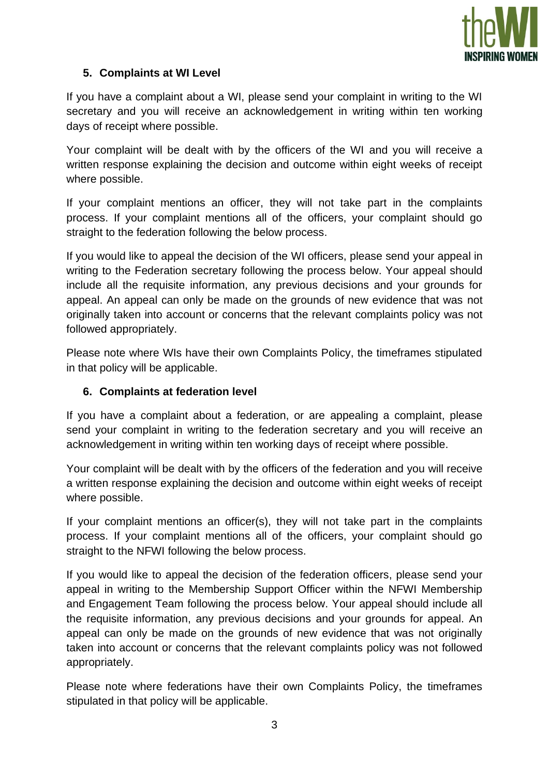

# **5. Complaints at WI Level**

If you have a complaint about a WI, please send your complaint in writing to the WI secretary and you will receive an acknowledgement in writing within ten working days of receipt where possible.

Your complaint will be dealt with by the officers of the WI and you will receive a written response explaining the decision and outcome within eight weeks of receipt where possible.

If your complaint mentions an officer, they will not take part in the complaints process. If your complaint mentions all of the officers, your complaint should go straight to the federation following the below process.

If you would like to appeal the decision of the WI officers, please send your appeal in writing to the Federation secretary following the process below. Your appeal should include all the requisite information, any previous decisions and your grounds for appeal. An appeal can only be made on the grounds of new evidence that was not originally taken into account or concerns that the relevant complaints policy was not followed appropriately.

Please note where WIs have their own Complaints Policy, the timeframes stipulated in that policy will be applicable.

#### **6. Complaints at federation level**

If you have a complaint about a federation, or are appealing a complaint, please send your complaint in writing to the federation secretary and you will receive an acknowledgement in writing within ten working days of receipt where possible.

Your complaint will be dealt with by the officers of the federation and you will receive a written response explaining the decision and outcome within eight weeks of receipt where possible.

If your complaint mentions an officer(s), they will not take part in the complaints process. If your complaint mentions all of the officers, your complaint should go straight to the NFWI following the below process.

If you would like to appeal the decision of the federation officers, please send your appeal in writing to the Membership Support Officer within the NFWI Membership and Engagement Team following the process below. Your appeal should include all the requisite information, any previous decisions and your grounds for appeal. An appeal can only be made on the grounds of new evidence that was not originally taken into account or concerns that the relevant complaints policy was not followed appropriately.

Please note where federations have their own Complaints Policy, the timeframes stipulated in that policy will be applicable.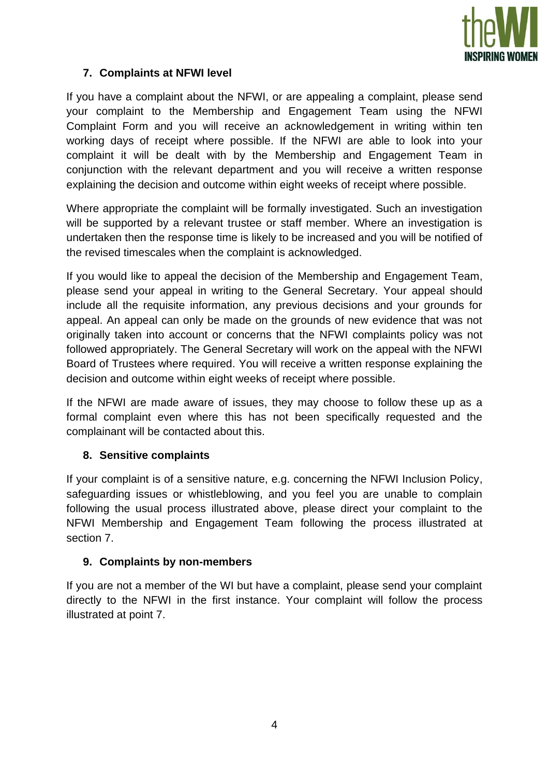

## **7. Complaints at NFWI level**

If you have a complaint about the NFWI, or are appealing a complaint, please send your complaint to the Membership and Engagement Team using the NFWI Complaint Form and you will receive an acknowledgement in writing within ten working days of receipt where possible. If the NFWI are able to look into your complaint it will be dealt with by the Membership and Engagement Team in conjunction with the relevant department and you will receive a written response explaining the decision and outcome within eight weeks of receipt where possible.

Where appropriate the complaint will be formally investigated. Such an investigation will be supported by a relevant trustee or staff member. Where an investigation is undertaken then the response time is likely to be increased and you will be notified of the revised timescales when the complaint is acknowledged.

If you would like to appeal the decision of the Membership and Engagement Team, please send your appeal in writing to the General Secretary. Your appeal should include all the requisite information, any previous decisions and your grounds for appeal. An appeal can only be made on the grounds of new evidence that was not originally taken into account or concerns that the NFWI complaints policy was not followed appropriately. The General Secretary will work on the appeal with the NFWI Board of Trustees where required. You will receive a written response explaining the decision and outcome within eight weeks of receipt where possible.

If the NFWI are made aware of issues, they may choose to follow these up as a formal complaint even where this has not been specifically requested and the complainant will be contacted about this.

#### **8. Sensitive complaints**

If your complaint is of a sensitive nature, e.g. concerning the NFWI Inclusion Policy, safeguarding issues or whistleblowing, and you feel you are unable to complain following the usual process illustrated above, please direct your complaint to the NFWI Membership and Engagement Team following the process illustrated at section 7.

#### **9. Complaints by non-members**

If you are not a member of the WI but have a complaint, please send your complaint directly to the NFWI in the first instance. Your complaint will follow the process illustrated at point 7.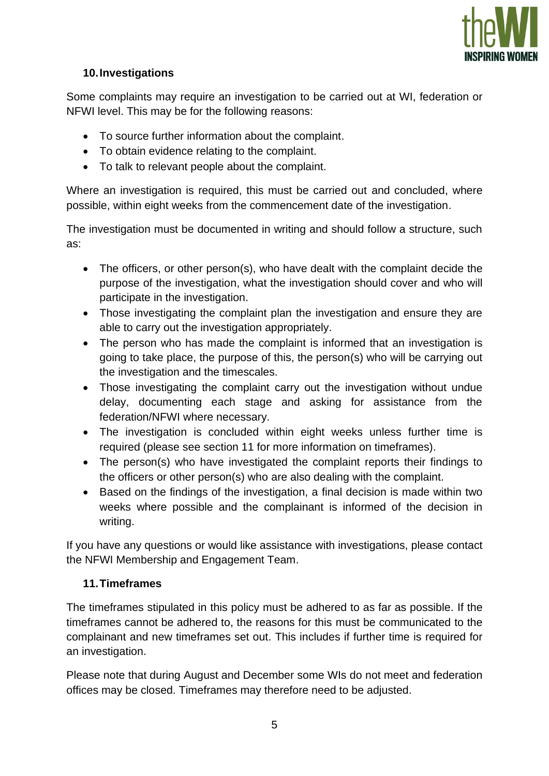

# **10.Investigations**

Some complaints may require an investigation to be carried out at WI, federation or NFWI level. This may be for the following reasons:

- To source further information about the complaint.
- To obtain evidence relating to the complaint.
- To talk to relevant people about the complaint.

Where an investigation is required, this must be carried out and concluded, where possible, within eight weeks from the commencement date of the investigation.

The investigation must be documented in writing and should follow a structure, such as:

- The officers, or other person(s), who have dealt with the complaint decide the purpose of the investigation, what the investigation should cover and who will participate in the investigation.
- Those investigating the complaint plan the investigation and ensure they are able to carry out the investigation appropriately.
- The person who has made the complaint is informed that an investigation is going to take place, the purpose of this, the person(s) who will be carrying out the investigation and the timescales.
- Those investigating the complaint carry out the investigation without undue delay, documenting each stage and asking for assistance from the federation/NFWI where necessary.
- The investigation is concluded within eight weeks unless further time is required (please see section 11 for more information on timeframes).
- The person(s) who have investigated the complaint reports their findings to the officers or other person(s) who are also dealing with the complaint.
- Based on the findings of the investigation, a final decision is made within two weeks where possible and the complainant is informed of the decision in writing.

If you have any questions or would like assistance with investigations, please contact the NFWI Membership and Engagement Team.

#### **11.Timeframes**

The timeframes stipulated in this policy must be adhered to as far as possible. If the timeframes cannot be adhered to, the reasons for this must be communicated to the complainant and new timeframes set out. This includes if further time is required for an investigation.

Please note that during August and December some WIs do not meet and federation offices may be closed. Timeframes may therefore need to be adjusted.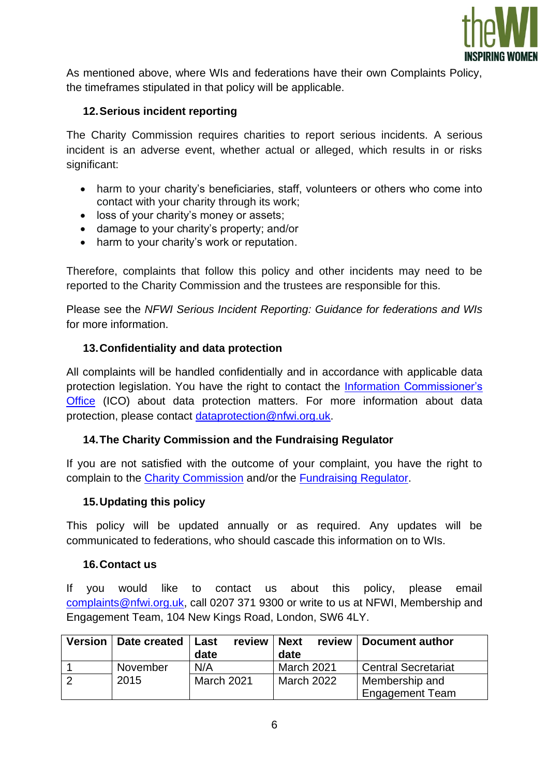

As mentioned above, where WIs and federations have their own Complaints Policy, the timeframes stipulated in that policy will be applicable.

## **12.Serious incident reporting**

The Charity Commission requires charities to report serious incidents. A serious incident is an adverse event, whether actual or alleged, which results in or risks significant:

- harm to your charity's beneficiaries, staff, volunteers or others who come into contact with your charity through its work;
- loss of your charity's money or assets;
- damage to your charity's property; and/or
- harm to your charity's work or reputation.

Therefore, complaints that follow this policy and other incidents may need to be reported to the Charity Commission and the trustees are responsible for this.

Please see the *NFWI Serious Incident Reporting: Guidance for federations and WIs* for more information.

#### **13.Confidentiality and data protection**

All complaints will be handled confidentially and in accordance with applicable data protection legislation. You have the right to contact the [Information Commissioner's](https://ico.org.uk/)  [Office](https://ico.org.uk/) (ICO) about data protection matters. For more information about data protection, please contact [dataprotection@nfwi.org.uk.](mailto:dataprotection@nfwi.org.uk)

#### **14.The Charity Commission and the Fundraising Regulator**

If you are not satisfied with the outcome of your complaint, you have the right to complain to the [Charity Commission](https://www.gov.uk/complain-about-charity) and/or the [Fundraising Regulator.](https://www.fundraisingregulator.org.uk/complaints)

#### **15.Updating this policy**

This policy will be updated annually or as required. Any updates will be communicated to federations, who should cascade this information on to WIs.

#### **16.Contact us**

If you would like to contact us about this policy, please email [complaints@nfwi.org.uk,](mailto:complaints@nfwi.org.uk) call 0207 371 9300 or write to us at NFWI, Membership and Engagement Team, 104 New Kings Road, London, SW6 4LY.

| Version   Date created   Last | review  <br>date  | <b>Next</b><br>date | review   Document author                 |
|-------------------------------|-------------------|---------------------|------------------------------------------|
| November                      | N/A               | March 2021          | <b>Central Secretariat</b>               |
| 2015                          | <b>March 2021</b> | <b>March 2022</b>   | Membership and<br><b>Engagement Team</b> |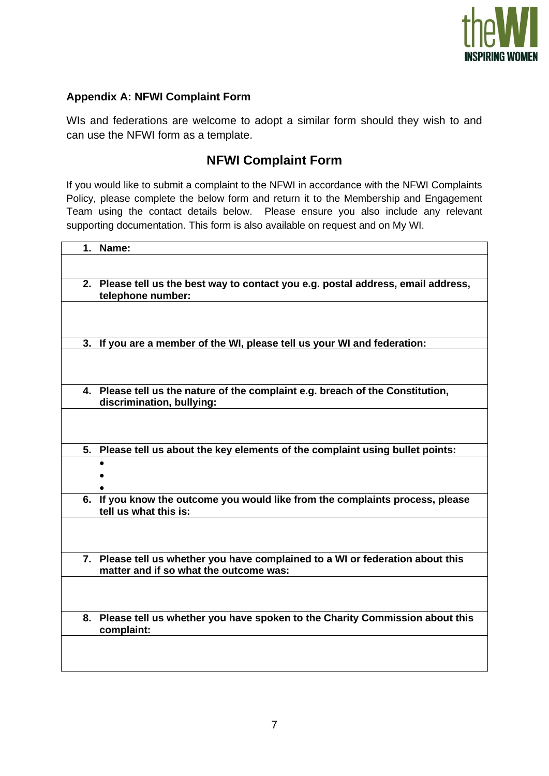

## **Appendix A: NFWI Complaint Form**

WIs and federations are welcome to adopt a similar form should they wish to and can use the NFWI form as a template.

# **NFWI Complaint Form**

If you would like to submit a complaint to the NFWI in accordance with the NFWI Complaints Policy, please complete the below form and return it to the Membership and Engagement Team using the contact details below. Please ensure you also include any relevant supporting documentation. This form is also available on request and on My WI.

| 1. | Name:                                                                                                                    |
|----|--------------------------------------------------------------------------------------------------------------------------|
|    |                                                                                                                          |
|    | 2. Please tell us the best way to contact you e.g. postal address, email address,<br>telephone number:                   |
|    |                                                                                                                          |
|    |                                                                                                                          |
|    | 3. If you are a member of the WI, please tell us your WI and federation:                                                 |
|    |                                                                                                                          |
|    | 4. Please tell us the nature of the complaint e.g. breach of the Constitution,<br>discrimination, bullying:              |
|    |                                                                                                                          |
| 5. | Please tell us about the key elements of the complaint using bullet points:                                              |
|    |                                                                                                                          |
|    |                                                                                                                          |
|    |                                                                                                                          |
| 6. | If you know the outcome you would like from the complaints process, please<br>tell us what this is:                      |
|    |                                                                                                                          |
|    |                                                                                                                          |
|    | 7. Please tell us whether you have complained to a WI or federation about this<br>matter and if so what the outcome was: |
|    |                                                                                                                          |
|    |                                                                                                                          |
|    | 8. Please tell us whether you have spoken to the Charity Commission about this<br>complaint:                             |
|    |                                                                                                                          |